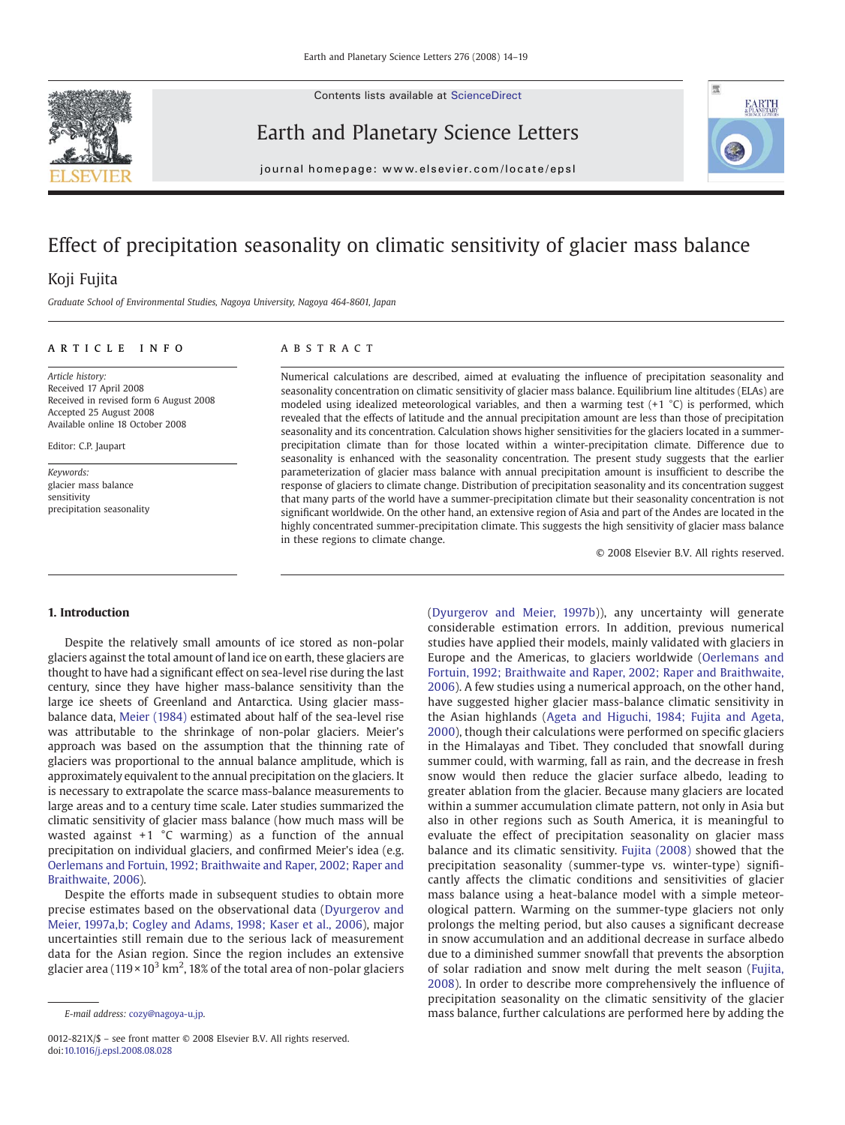Contents lists available at ScienceDirect

<span id="page-0-0"></span>

Earth and Planetary Science Letters



journal homepage: www.elsevier.com/locate/epsl

# Effect of precipitation seasonality on climatic sensitivity of glacier mass balance

## Koji Fujita

Graduate School of Environmental Studies, Nagoya University, Nagoya 464-8601, Japan

#### article info abstract

Article history: Received 17 April 2008 Received in revised form 6 August 2008 Accepted 25 August 2008 Available online 18 October 2008

Editor: C.P. Jaupart

Keywords: glacier mass balance sensitivity precipitation seasonality

Numerical calculations are described, aimed at evaluating the influence of precipitation seasonality and seasonality concentration on climatic sensitivity of glacier mass balance. Equilibrium line altitudes (ELAs) are modeled using idealized meteorological variables, and then a warming test  $(+1 \degree C)$  is performed, which revealed that the effects of latitude and the annual precipitation amount are less than those of precipitation seasonality and its concentration. Calculation shows higher sensitivities for the glaciers located in a summerprecipitation climate than for those located within a winter-precipitation climate. Difference due to seasonality is enhanced with the seasonality concentration. The present study suggests that the earlier parameterization of glacier mass balance with annual precipitation amount is insufficient to describe the response of glaciers to climate change. Distribution of precipitation seasonality and its concentration suggest that many parts of the world have a summer-precipitation climate but their seasonality concentration is not significant worldwide. On the other hand, an extensive region of Asia and part of the Andes are located in the highly concentrated summer-precipitation climate. This suggests the high sensitivity of glacier mass balance in these regions to climate change.

© 2008 Elsevier B.V. All rights reserved.

#### 1. Introduction

Despite the relatively small amounts of ice stored as non-polar glaciers against the total amount of land ice on earth, these glaciers are thought to have had a significant effect on sea-level rise during the last century, since they have higher mass-balance sensitivity than the large ice sheets of Greenland and Antarctica. Using glacier massbalance data, [Meier \(1984\)](#page-5-0) estimated about half of the sea-level rise was attributable to the shrinkage of non-polar glaciers. Meier's approach was based on the assumption that the thinning rate of glaciers was proportional to the annual balance amplitude, which is approximately equivalent to the annual precipitation on the glaciers. It is necessary to extrapolate the scarce mass-balance measurements to large areas and to a century time scale. Later studies summarized the climatic sensitivity of glacier mass balance (how much mass will be wasted against  $+1$  °C warming) as a function of the annual precipitation on individual glaciers, and confirmed Meier's idea (e.g. [Oerlemans and Fortuin, 1992; Braithwaite and Raper, 2002; Raper and](#page-5-0) [Braithwaite, 2006](#page-5-0)).

Despite the efforts made in subsequent studies to obtain more precise estimates based on the observational data ([Dyurgerov and](#page-5-0) [Meier, 1997a,b; Cogley and Adams, 1998; Kaser et al., 2006\)](#page-5-0), major uncertainties still remain due to the serious lack of measurement data for the Asian region. Since the region includes an extensive glacier area (119 × 10 $^3$  km $^2$ , 18% of the total area of non-polar glaciers

([Dyurgerov and Meier, 1997b\)](#page-5-0)), any uncertainty will generate considerable estimation errors. In addition, previous numerical studies have applied their models, mainly validated with glaciers in Europe and the Americas, to glaciers worldwide [\(Oerlemans and](#page-5-0) [Fortuin, 1992; Braithwaite and Raper, 2002; Raper and Braithwaite,](#page-5-0) [2006\)](#page-5-0). A few studies using a numerical approach, on the other hand, have suggested higher glacier mass-balance climatic sensitivity in the Asian highlands ([Ageta and Higuchi, 1984; Fujita and Ageta,](#page-5-0) [2000\)](#page-5-0), though their calculations were performed on specific glaciers in the Himalayas and Tibet. They concluded that snowfall during summer could, with warming, fall as rain, and the decrease in fresh snow would then reduce the glacier surface albedo, leading to greater ablation from the glacier. Because many glaciers are located within a summer accumulation climate pattern, not only in Asia but also in other regions such as South America, it is meaningful to evaluate the effect of precipitation seasonality on glacier mass balance and its climatic sensitivity. [Fujita \(2008\)](#page-5-0) showed that the precipitation seasonality (summer-type vs. winter-type) significantly affects the climatic conditions and sensitivities of glacier mass balance using a heat-balance model with a simple meteorological pattern. Warming on the summer-type glaciers not only prolongs the melting period, but also causes a significant decrease in snow accumulation and an additional decrease in surface albedo due to a diminished summer snowfall that prevents the absorption of solar radiation and snow melt during the melt season ([Fujita,](#page-5-0) [2008\)](#page-5-0). In order to describe more comprehensively the influence of precipitation seasonality on the climatic sensitivity of the glacier mass balance, further calculations are performed here by adding the

E-mail address: [cozy@nagoya-u.jp](mailto:cozy@nagoya-u.jp).

<sup>0012-821</sup>X/\$ – see front matter © 2008 Elsevier B.V. All rights reserved. doi[:10.1016/j.epsl.2008.08.028](http://dx.doi.org/10.1016/j.epsl.2008.08.028)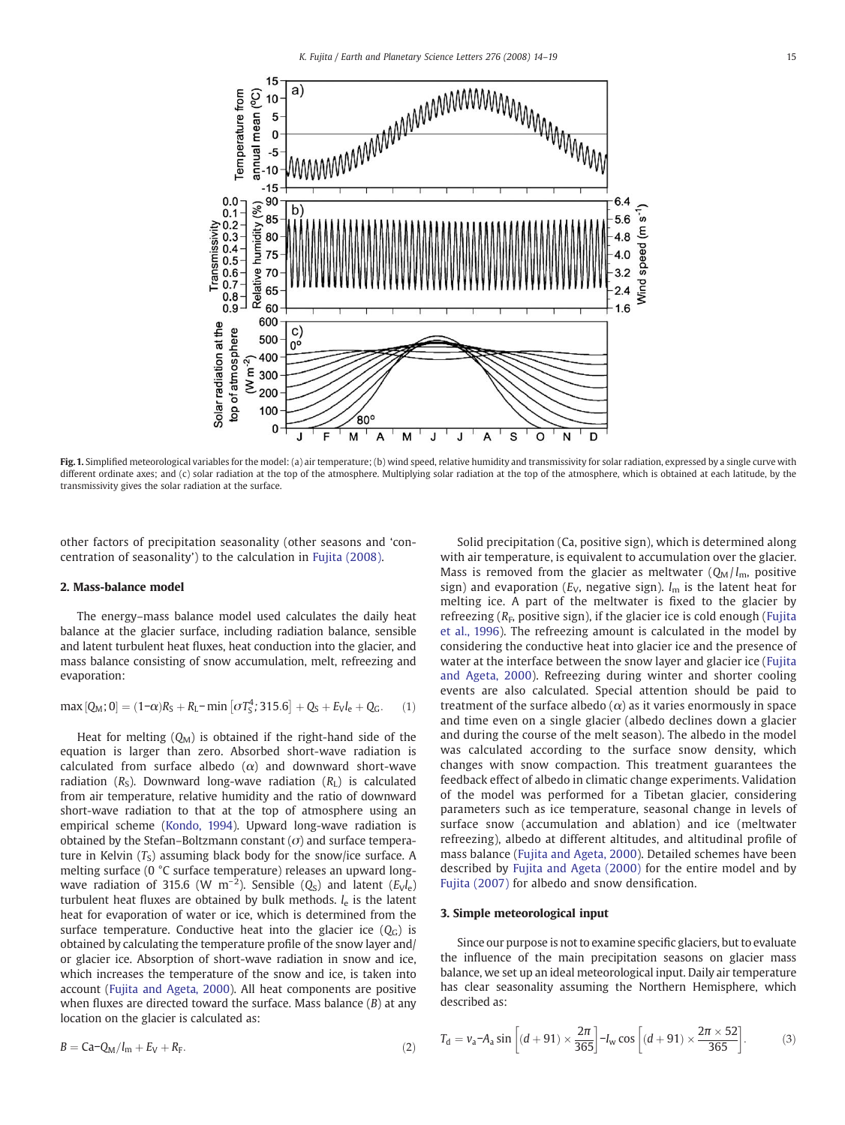<span id="page-1-0"></span>

Fig. 1. Simplified meteorological variables for the model: (a) air temperature; (b) wind speed, relative humidity and transmissivity for solar radiation, expressed by a single curve with different ordinate axes; and (c) solar radiation at the top of the atmosphere. Multiplying solar radiation at the top of the atmosphere, which is obtained at each latitude, by the transmissivity gives the solar radiation at the surface.

other factors of precipitation seasonality (other seasons and 'concentration of seasonality') to the calculation in [Fujita \(2008\).](#page-5-0)

#### 2. Mass-balance model

The energy–mass balance model used calculates the daily heat balance at the glacier surface, including radiation balance, sensible and latent turbulent heat fluxes, heat conduction into the glacier, and mass balance consisting of snow accumulation, melt, refreezing and evaporation:

$$
\max [Q_M; 0] = (1-\alpha)R_S + R_L - \min [\sigma T_S^4; 315.6] + Q_S + E_V I_e + Q_G. \tag{1}
$$

Heat for melting  $(Q_M)$  is obtained if the right-hand side of the equation is larger than zero. Absorbed short-wave radiation is calculated from surface albedo  $(\alpha)$  and downward short-wave radiation  $(R<sub>S</sub>)$ . Downward long-wave radiation  $(R<sub>L</sub>)$  is calculated from air temperature, relative humidity and the ratio of downward short-wave radiation to that at the top of atmosphere using an empirical scheme ([Kondo, 1994](#page-5-0)). Upward long-wave radiation is obtained by the Stefan–Boltzmann constant  $(\sigma)$  and surface temperature in Kelvin  $(T<sub>S</sub>)$  assuming black body for the snow/ice surface. A melting surface (0 °C surface temperature) releases an upward longwave radiation of 315.6 (W m<sup>-2</sup>). Sensible ( $Q<sub>S</sub>$ ) and latent ( $E<sub>V</sub>l<sub>e</sub>$ ) turbulent heat fluxes are obtained by bulk methods.  $l_e$  is the latent heat for evaporation of water or ice, which is determined from the surface temperature. Conductive heat into the glacier ice  $(Q_C)$  is obtained by calculating the temperature profile of the snow layer and/ or glacier ice. Absorption of short-wave radiation in snow and ice, which increases the temperature of the snow and ice, is taken into account [\(Fujita and Ageta, 2000\)](#page-5-0). All heat components are positive when fluxes are directed toward the surface. Mass balance  $(B)$  at any location on the glacier is calculated as:

$$
B = Ca - Q_M / l_m + E_V + R_F. \tag{2}
$$

Solid precipitation (Ca, positive sign), which is determined along with air temperature, is equivalent to accumulation over the glacier. Mass is removed from the glacier as meltwater  $(Q_M / l_m)$ , positive sign) and evaporation ( $E_V$ , negative sign).  $l_m$  is the latent heat for melting ice. A part of the meltwater is fixed to the glacier by refreezing  $(R<sub>F</sub>$ , positive sign), if the glacier ice is cold enough ([Fujita](#page-5-0) [et al., 1996](#page-5-0)). The refreezing amount is calculated in the model by considering the conductive heat into glacier ice and the presence of water at the interface between the snow layer and glacier ice ([Fujita](#page-5-0) [and Ageta, 2000\)](#page-5-0). Refreezing during winter and shorter cooling events are also calculated. Special attention should be paid to treatment of the surface albedo  $(\alpha)$  as it varies enormously in space and time even on a single glacier (albedo declines down a glacier and during the course of the melt season). The albedo in the model was calculated according to the surface snow density, which changes with snow compaction. This treatment guarantees the feedback effect of albedo in climatic change experiments. Validation of the model was performed for a Tibetan glacier, considering parameters such as ice temperature, seasonal change in levels of surface snow (accumulation and ablation) and ice (meltwater refreezing), albedo at different altitudes, and altitudinal profile of mass balance [\(Fujita and Ageta, 2000](#page-5-0)). Detailed schemes have been described by [Fujita and Ageta \(2000\)](#page-5-0) for the entire model and by [Fujita \(2007\)](#page-5-0) for albedo and snow densification.

#### 3. Simple meteorological input

Since our purpose is not to examine specific glaciers, but to evaluate the influence of the main precipitation seasons on glacier mass balance, we set up an ideal meteorological input. Daily air temperature has clear seasonality assuming the Northern Hemisphere, which described as:

$$
T_{\rm d} = v_{\rm a} - A_{\rm a} \sin \left[ (d + 91) \times \frac{2\pi}{365} \right] - I_{\rm w} \cos \left[ (d + 91) \times \frac{2\pi \times 52}{365} \right]. \tag{3}
$$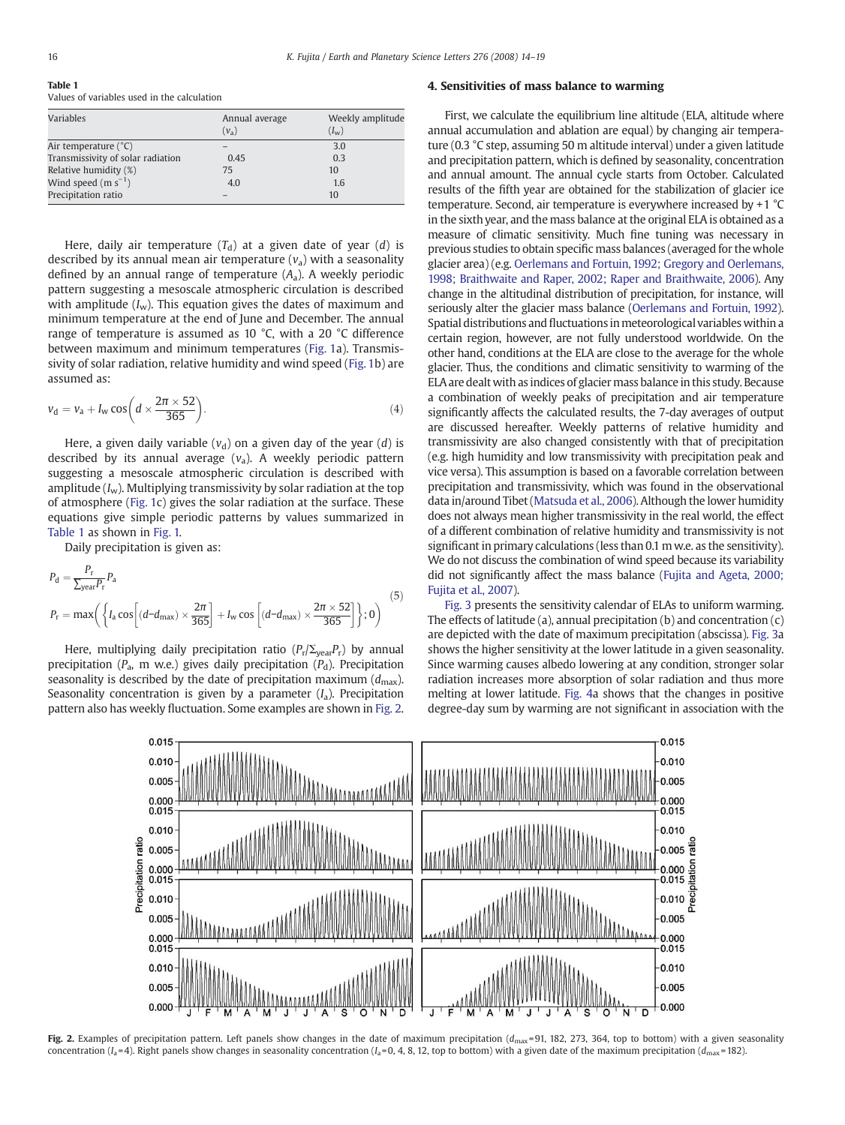Table 1 Values of variables used in the calculation

| Variables                         | Annual average | Weekly amplitude |
|-----------------------------------|----------------|------------------|
|                                   | $(v_a)$        | $(I_w)$          |
| Air temperature (°C)              |                | 3.0              |
| Transmissivity of solar radiation | 0.45           | 0.3              |
| Relative humidity (%)             | 75             | 10               |
| Wind speed $(m s^{-1})$           | 4.0            | 1.6              |
| Precipitation ratio               |                | 10               |
|                                   |                |                  |

Here, daily air temperature  $(T_d)$  at a given date of year  $(d)$  is described by its annual mean air temperature  $(v_2)$  with a seasonality defined by an annual range of temperature  $(A<sub>a</sub>)$ . A weekly periodic pattern suggesting a mesoscale atmospheric circulation is described with amplitude  $(I_w)$ . This equation gives the dates of maximum and minimum temperature at the end of June and December. The annual range of temperature is assumed as 10 °C, with a 20 °C difference between maximum and minimum temperatures ([Fig. 1](#page-1-0)a). Transmissivity of solar radiation, relative humidity and wind speed ([Fig. 1](#page-1-0)b) are assumed as:

$$
v_{\rm d} = v_{\rm a} + I_{\rm w} \cos\left(d \times \frac{2\pi \times 52}{365}\right). \tag{4}
$$

Here, a given daily variable  $(v_d)$  on a given day of the year  $(d)$  is described by its annual average  $(v_a)$ . A weekly periodic pattern suggesting a mesoscale atmospheric circulation is described with amplitude  $(I_w)$ . Multiplying transmissivity by solar radiation at the top of atmosphere ([Fig. 1c](#page-1-0)) gives the solar radiation at the surface. These equations give simple periodic patterns by values summarized in Table 1 as shown in [Fig. 1.](#page-1-0)

Daily precipitation is given as:

$$
P_{\rm d} = \frac{P_{\rm r}}{\sum_{\rm year} P_{\rm r}} P_{\rm a}
$$
\n
$$
P_{\rm r} = \max \left( \left\{ I_{\rm a} \cos \left[ (d - d_{\rm max}) \times \frac{2\pi}{365} \right] + I_{\rm w} \cos \left[ (d - d_{\rm max}) \times \frac{2\pi \times 52}{365} \right] \right\}; 0 \right)
$$
\n<sup>(5)</sup>

Here, multiplying daily precipitation ratio ( $P_r/\Sigma_{\text{year}}P_r$ ) by annual precipitation ( $P_a$ , m w.e.) gives daily precipitation ( $P_d$ ). Precipitation seasonality is described by the date of precipitation maximum  $(d_{\text{max}})$ . Seasonality concentration is given by a parameter  $(I_a)$ . Precipitation pattern also has weekly fluctuation. Some examples are shown in Fig. 2.

#### 4. Sensitivities of mass balance to warming

First, we calculate the equilibrium line altitude (ELA, altitude where annual accumulation and ablation are equal) by changing air temperature (0.3 °C step, assuming 50 m altitude interval) under a given latitude and precipitation pattern, which is defined by seasonality, concentration and annual amount. The annual cycle starts from October. Calculated results of the fifth year are obtained for the stabilization of glacier ice temperature. Second, air temperature is everywhere increased by +1 °C in the sixth year, and the mass balance at the original ELA is obtained as a measure of climatic sensitivity. Much fine tuning was necessary in previous studies to obtain specific mass balances (averaged for the whole glacier area) (e.g. [Oerlemans and Fortuin, 1992; Gregory and Oerlemans,](#page-5-0) [1998; Braithwaite and Raper, 2002; Raper and Braithwaite, 2006\)](#page-5-0). Any change in the altitudinal distribution of precipitation, for instance, will seriously alter the glacier mass balance ([Oerlemans and Fortuin, 1992](#page-5-0)). Spatial distributions and fluctuations in meteorological variables within a certain region, however, are not fully understood worldwide. On the other hand, conditions at the ELA are close to the average for the whole glacier. Thus, the conditions and climatic sensitivity to warming of the ELA are dealt with as indices of glacier mass balance in this study. Because a combination of weekly peaks of precipitation and air temperature significantly affects the calculated results, the 7-day averages of output are discussed hereafter. Weekly patterns of relative humidity and transmissivity are also changed consistently with that of precipitation (e.g. high humidity and low transmissivity with precipitation peak and vice versa). This assumption is based on a favorable correlation between precipitation and transmissivity, which was found in the observational data in/around Tibet [\(Matsuda et al., 2006\)](#page-5-0). Although the lower humidity does not always mean higher transmissivity in the real world, the effect of a different combination of relative humidity and transmissivity is not significant in primary calculations (less than 0.1 m w.e. as the sensitivity). We do not discuss the combination of wind speed because its variability did not significantly affect the mass balance ([Fujita and Ageta, 2000;](#page-5-0) [Fujita et al., 2007\)](#page-5-0).

[Fig. 3](#page-3-0) presents the sensitivity calendar of ELAs to uniform warming. The effects of latitude (a), annual precipitation (b) and concentration  $(c)$ are depicted with the date of maximum precipitation (abscissa). [Fig. 3a](#page-3-0) shows the higher sensitivity at the lower latitude in a given seasonality. Since warming causes albedo lowering at any condition, stronger solar radiation increases more absorption of solar radiation and thus more melting at lower latitude. [Fig. 4a](#page-3-0) shows that the changes in positive degree-day sum by warming are not significant in association with the



Fig. 2. Examples of precipitation pattern. Left panels show changes in the date of maximum precipitation ( $d_{\text{max}}$ =91, 182, 273, 364, top to bottom) with a given seasonality concentration  $(I_a=4)$ . Right panels show changes in seasonality concentration  $(I_a=0, 4, 8, 12,$  top to bottom) with a given date of the maximum precipitation  $(d_{\text{max}}=182)$ .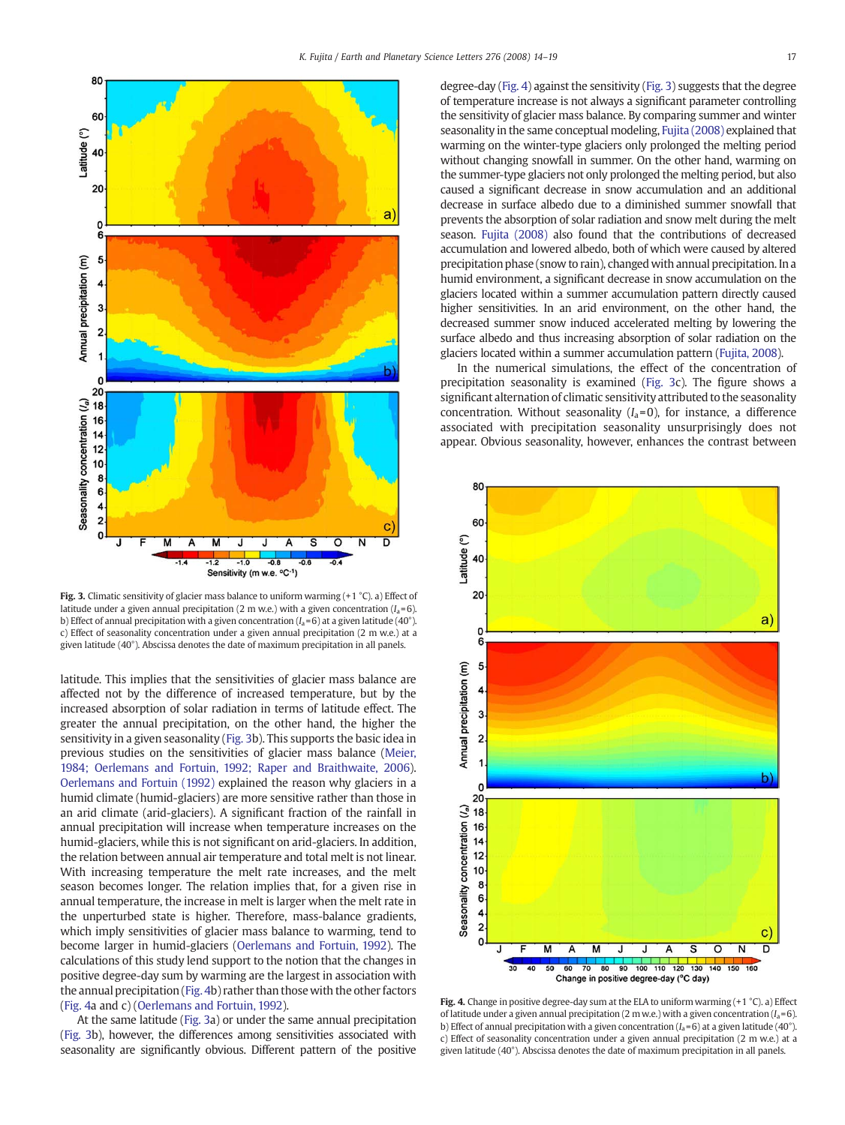<span id="page-3-0"></span>

Fig. 3. Climatic sensitivity of glacier mass balance to uniform warming  $(+1 \degree C)$ . a) Effect of latitude under a given annual precipitation (2 m w.e.) with a given concentration  $(I_a=6)$ . b) Effect of annual precipitation with a given concentration ( $I_a$ =6) at a given latitude (40°). c) Effect of seasonality concentration under a given annual precipitation (2 m w.e.) at a given latitude (40°). Abscissa denotes the date of maximum precipitation in all panels.

latitude. This implies that the sensitivities of glacier mass balance are affected not by the difference of increased temperature, but by the increased absorption of solar radiation in terms of latitude effect. The greater the annual precipitation, on the other hand, the higher the sensitivity in a given seasonality (Fig. 3b). This supports the basic idea in previous studies on the sensitivities of glacier mass balance [\(Meier,](#page-5-0) [1984; Oerlemans and Fortuin, 1992; Raper and Braithwaite, 2006\)](#page-5-0). [Oerlemans and Fortuin \(1992\)](#page-5-0) explained the reason why glaciers in a humid climate (humid-glaciers) are more sensitive rather than those in an arid climate (arid-glaciers). A significant fraction of the rainfall in annual precipitation will increase when temperature increases on the humid-glaciers, while this is not significant on arid-glaciers. In addition, the relation between annual air temperature and total melt is not linear. With increasing temperature the melt rate increases, and the melt season becomes longer. The relation implies that, for a given rise in annual temperature, the increase in melt is larger when the melt rate in the unperturbed state is higher. Therefore, mass-balance gradients, which imply sensitivities of glacier mass balance to warming, tend to become larger in humid-glaciers [\(Oerlemans and Fortuin, 1992\)](#page-5-0). The calculations of this study lend support to the notion that the changes in positive degree-day sum by warming are the largest in association with the annual precipitation (Fig. 4b) rather than thosewith the other factors (Fig. 4a and c) [\(Oerlemans and Fortuin, 1992](#page-5-0)).

At the same latitude (Fig. 3a) or under the same annual precipitation (Fig. 3b), however, the differences among sensitivities associated with seasonality are significantly obvious. Different pattern of the positive degree-day (Fig. 4) against the sensitivity (Fig. 3) suggests that the degree of temperature increase is not always a significant parameter controlling the sensitivity of glacier mass balance. By comparing summer and winter seasonality in the same conceptual modeling, [Fujita \(2008\)](#page-5-0) explained that warming on the winter-type glaciers only prolonged the melting period without changing snowfall in summer. On the other hand, warming on the summer-type glaciers not only prolonged the melting period, but also caused a significant decrease in snow accumulation and an additional decrease in surface albedo due to a diminished summer snowfall that prevents the absorption of solar radiation and snow melt during the melt season. [Fujita \(2008\)](#page-5-0) also found that the contributions of decreased accumulation and lowered albedo, both of which were caused by altered precipitation phase (snow to rain), changed with annual precipitation. In a humid environment, a significant decrease in snow accumulation on the glaciers located within a summer accumulation pattern directly caused higher sensitivities. In an arid environment, on the other hand, the decreased summer snow induced accelerated melting by lowering the surface albedo and thus increasing absorption of solar radiation on the glaciers located within a summer accumulation pattern [\(Fujita, 2008](#page-5-0)).

In the numerical simulations, the effect of the concentration of precipitation seasonality is examined (Fig. 3c). The figure shows a significant alternation of climatic sensitivity attributed to the seasonality concentration. Without seasonality  $(I_a=0)$ , for instance, a difference associated with precipitation seasonality unsurprisingly does not appear. Obvious seasonality, however, enhances the contrast between



**Fig. 4.** Change in positive degree-day sum at the ELA to uniform warming  $(+1, 0)$ . a) Effect of latitude under a given annual precipitation (2 m w.e.) with a given concentration ( $I_a$ =6). b) Effect of annual precipitation with a given concentration ( $I_a$ =6) at a given latitude (40°). c) Effect of seasonality concentration under a given annual precipitation (2 m w.e.) at a given latitude (40°). Abscissa denotes the date of maximum precipitation in all panels.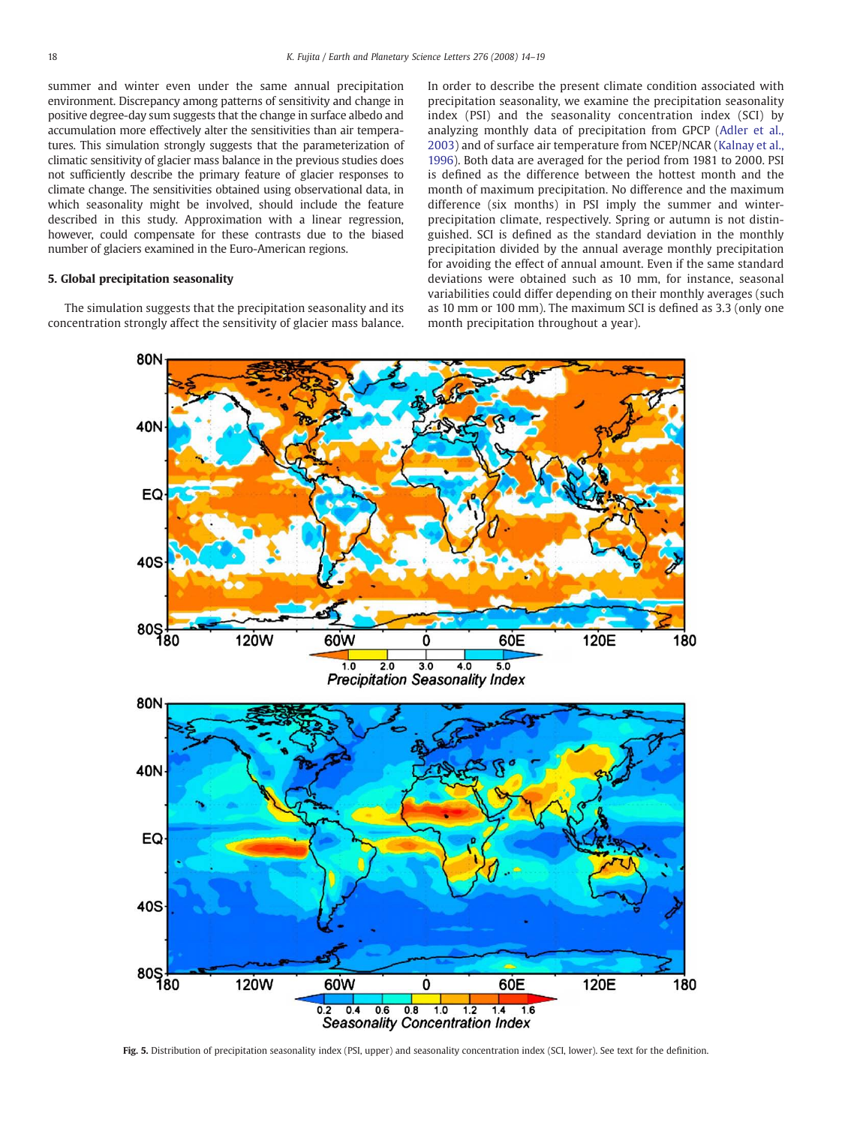<span id="page-4-0"></span>summer and winter even under the same annual precipitation environment. Discrepancy among patterns of sensitivity and change in positive degree-day sum suggests that the change in surface albedo and accumulation more effectively alter the sensitivities than air temperatures. This simulation strongly suggests that the parameterization of climatic sensitivity of glacier mass balance in the previous studies does not sufficiently describe the primary feature of glacier responses to climate change. The sensitivities obtained using observational data, in which seasonality might be involved, should include the feature described in this study. Approximation with a linear regression, however, could compensate for these contrasts due to the biased number of glaciers examined in the Euro-American regions.

### 5. Global precipitation seasonality

The simulation suggests that the precipitation seasonality and its concentration strongly affect the sensitivity of glacier mass balance. In order to describe the present climate condition associated with precipitation seasonality, we examine the precipitation seasonality index (PSI) and the seasonality concentration index (SCI) by analyzing monthly data of precipitation from GPCP ([Adler et al.,](#page-5-0) [2003\)](#page-5-0) and of surface air temperature from NCEP/NCAR ([Kalnay et al.,](#page-5-0) [1996\)](#page-5-0). Both data are averaged for the period from 1981 to 2000. PSI is defined as the difference between the hottest month and the month of maximum precipitation. No difference and the maximum difference (six months) in PSI imply the summer and winterprecipitation climate, respectively. Spring or autumn is not distinguished. SCI is defined as the standard deviation in the monthly precipitation divided by the annual average monthly precipitation for avoiding the effect of annual amount. Even if the same standard deviations were obtained such as 10 mm, for instance, seasonal variabilities could differ depending on their monthly averages (such as 10 mm or 100 mm). The maximum SCI is defined as 3.3 (only one month precipitation throughout a year).



Fig. 5. Distribution of precipitation seasonality index (PSI, upper) and seasonality concentration index (SCI, lower). See text for the definition.